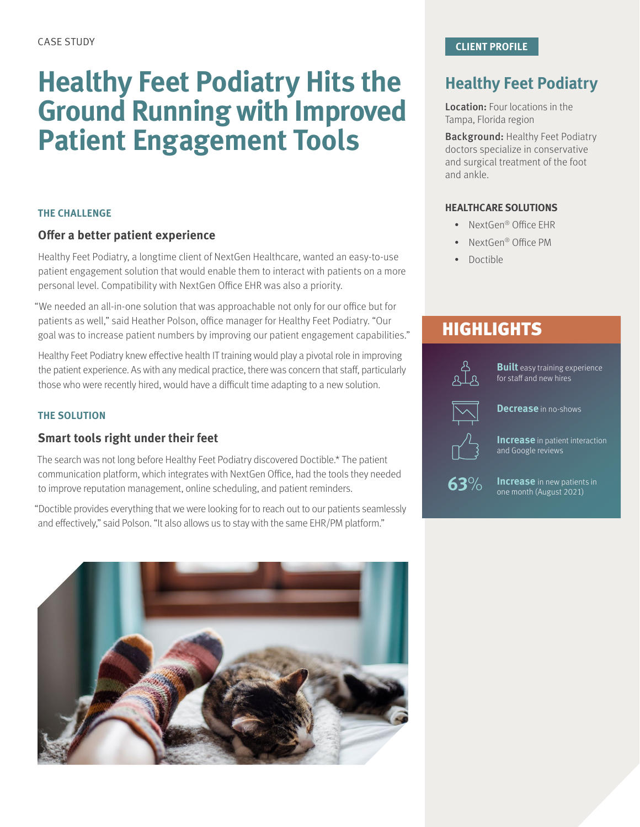# **Healthy Feet Podiatry Hits the Ground Running with Improved Patient Engagement Tools**

### **THE CHALLENGE**

## **Offer a better patient experience**

Healthy Feet Podiatry, a longtime client of NextGen Healthcare, wanted an easy-to-use patient engagement solution that would enable them to interact with patients on a more personal level. Compatibility with NextGen Office EHR was also a priority.

"We needed an all-in-one solution that was approachable not only for our office but for patients as well," said Heather Polson, office manager for Healthy Feet Podiatry. "Our goal was to increase patient numbers by improving our patient engagement capabilities."

Healthy Feet Podiatry knew effective health IT training would play a pivotal role in improving the patient experience. As with any medical practice, there was concern that staff, particularly those who were recently hired, would have a difficult time adapting to a new solution.

### **THE SOLUTION**

### **Smart tools right under their feet**

The search was not long before Healthy Feet Podiatry discovered Doctible.\* The patient communication platform, which integrates with NextGen Office, had the tools they needed to improve reputation management, online scheduling, and patient reminders.

"Doctible provides everything that we were looking for to reach out to our patients seamlessly and effectively," said Polson. "It also allows us to stay with the same EHR/PM platform."



# **Healthy Feet Podiatry**

Location: Four locations in the Tampa, Florida region

Background: Healthy Feet Podiatry doctors specialize in conservative and surgical treatment of the foot and ankle.

### **HEALTHCARE SOLUTIONS**

- NextGen® Office EHR
- NextGen® Office PM
- Doctible

# **HIGHLIGHTS**



**Built** easy training experience for staff and new hires

**Decrease** in no-shows

**Increase** in patient interaction and Google reviews



**Increase** in new patients in one month (August 2021)